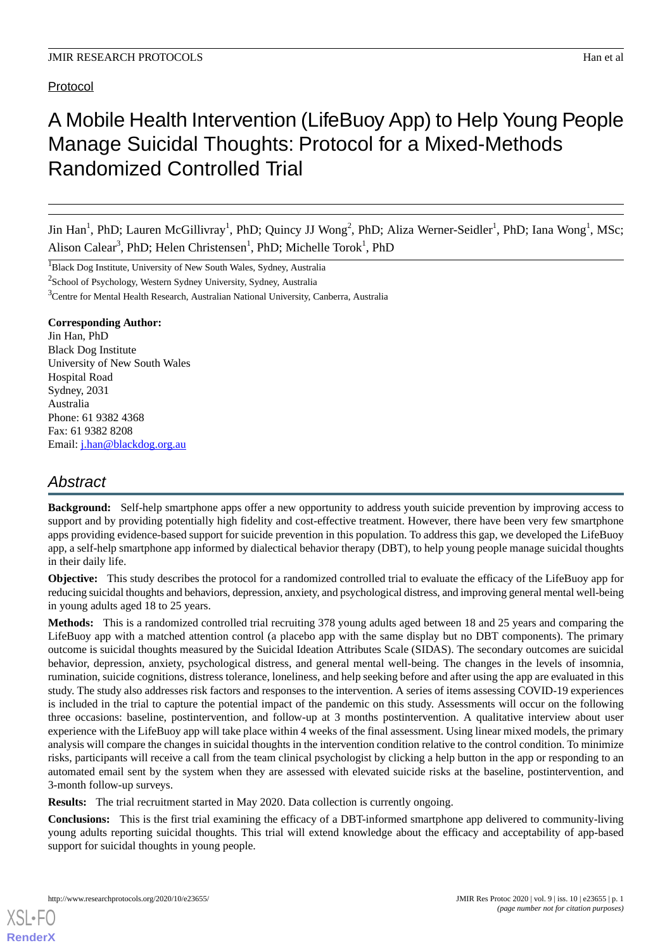# Protocol

# A Mobile Health Intervention (LifeBuoy App) to Help Young People Manage Suicidal Thoughts: Protocol for a Mixed-Methods Randomized Controlled Trial

Jin Han<sup>1</sup>, PhD; Lauren McGillivray<sup>1</sup>, PhD; Quincy JJ Wong<sup>2</sup>, PhD; Aliza Werner-Seidler<sup>1</sup>, PhD; Iana Wong<sup>1</sup>, MSc; Alison Calear<sup>3</sup>, PhD; Helen Christensen<sup>1</sup>, PhD; Michelle Torok<sup>1</sup>, PhD

<sup>1</sup>Black Dog Institute, University of New South Wales, Sydney, Australia

<sup>2</sup>School of Psychology, Western Sydney University, Sydney, Australia

<sup>3</sup>Centre for Mental Health Research, Australian National University, Canberra, Australia

# **Corresponding Author:**

Jin Han, PhD Black Dog Institute University of New South Wales Hospital Road Sydney, 2031 Australia Phone: 61 9382 4368 Fax: 61 9382 8208 Email: [j.han@blackdog.org.au](mailto:j.han@blackdog.org.au)

# *Abstract*

**Background:** Self-help smartphone apps offer a new opportunity to address youth suicide prevention by improving access to support and by providing potentially high fidelity and cost-effective treatment. However, there have been very few smartphone apps providing evidence-based support for suicide prevention in this population. To address this gap, we developed the LifeBuoy app, a self-help smartphone app informed by dialectical behavior therapy (DBT), to help young people manage suicidal thoughts in their daily life.

**Objective:** This study describes the protocol for a randomized controlled trial to evaluate the efficacy of the LifeBuoy app for reducing suicidal thoughts and behaviors, depression, anxiety, and psychological distress, and improving general mental well-being in young adults aged 18 to 25 years.

**Methods:** This is a randomized controlled trial recruiting 378 young adults aged between 18 and 25 years and comparing the LifeBuoy app with a matched attention control (a placebo app with the same display but no DBT components). The primary outcome is suicidal thoughts measured by the Suicidal Ideation Attributes Scale (SIDAS). The secondary outcomes are suicidal behavior, depression, anxiety, psychological distress, and general mental well-being. The changes in the levels of insomnia, rumination, suicide cognitions, distress tolerance, loneliness, and help seeking before and after using the app are evaluated in this study. The study also addresses risk factors and responses to the intervention. A series of items assessing COVID-19 experiences is included in the trial to capture the potential impact of the pandemic on this study. Assessments will occur on the following three occasions: baseline, postintervention, and follow-up at 3 months postintervention. A qualitative interview about user experience with the LifeBuoy app will take place within 4 weeks of the final assessment. Using linear mixed models, the primary analysis will compare the changes in suicidal thoughts in the intervention condition relative to the control condition. To minimize risks, participants will receive a call from the team clinical psychologist by clicking a help button in the app or responding to an automated email sent by the system when they are assessed with elevated suicide risks at the baseline, postintervention, and 3-month follow-up surveys.

**Results:** The trial recruitment started in May 2020. Data collection is currently ongoing.

**Conclusions:** This is the first trial examining the efficacy of a DBT-informed smartphone app delivered to community-living young adults reporting suicidal thoughts. This trial will extend knowledge about the efficacy and acceptability of app-based support for suicidal thoughts in young people.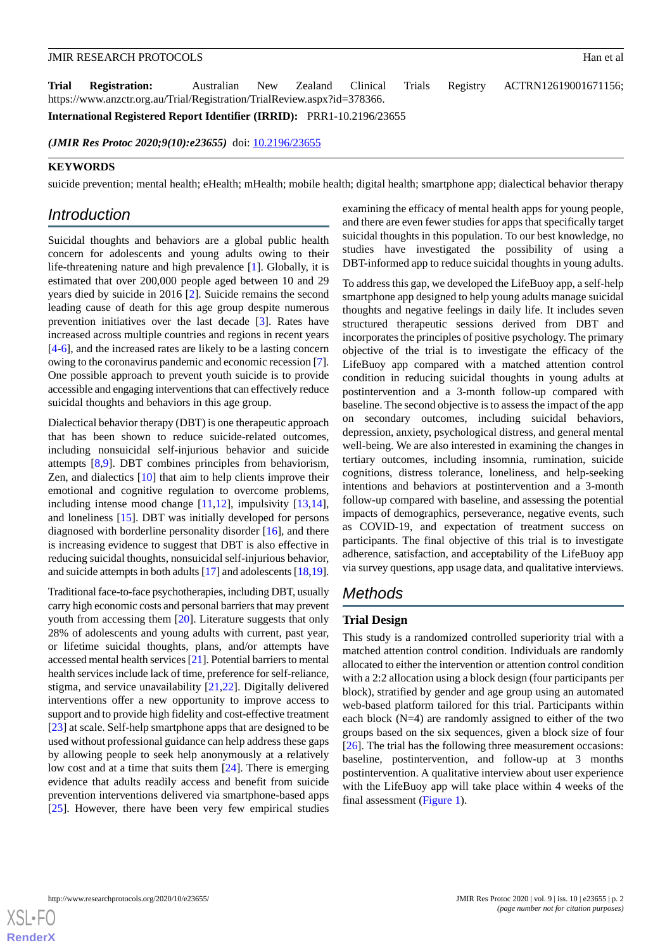**Trial Registration:** Australian New Zealand Clinical Trials Registry ACTRN12619001671156; https://www.anzctr.org.au/Trial/Registration/TrialReview.aspx?id=378366.

**International Registered Report Identifier (IRRID):** PRR1-10.2196/23655

*(JMIR Res Protoc 2020;9(10):e23655)* doi: [10.2196/23655](http://dx.doi.org/10.2196/23655)

### **KEYWORDS**

suicide prevention; mental health; eHealth; mHealth; mobile health; digital health; smartphone app; dialectical behavior therapy

# *Introduction*

Suicidal thoughts and behaviors are a global public health concern for adolescents and young adults owing to their life-threatening nature and high prevalence [[1\]](#page-7-0). Globally, it is estimated that over 200,000 people aged between 10 and 29 years died by suicide in 2016 [[2\]](#page-7-1). Suicide remains the second leading cause of death for this age group despite numerous prevention initiatives over the last decade [[3\]](#page-8-0). Rates have increased across multiple countries and regions in recent years [[4](#page-8-1)[-6](#page-8-2)], and the increased rates are likely to be a lasting concern owing to the coronavirus pandemic and economic recession [[7\]](#page-8-3). One possible approach to prevent youth suicide is to provide accessible and engaging interventions that can effectively reduce suicidal thoughts and behaviors in this age group.

Dialectical behavior therapy (DBT) is one therapeutic approach that has been shown to reduce suicide-related outcomes, including nonsuicidal self-injurious behavior and suicide attempts [[8](#page-8-4)[,9](#page-8-5)]. DBT combines principles from behaviorism, Zen, and dialectics [\[10](#page-8-6)] that aim to help clients improve their emotional and cognitive regulation to overcome problems, including intense mood change [[11,](#page-8-7)[12](#page-8-8)], impulsivity [\[13](#page-8-9),[14\]](#page-8-10), and loneliness [[15\]](#page-8-11). DBT was initially developed for persons diagnosed with borderline personality disorder [[16\]](#page-8-12), and there is increasing evidence to suggest that DBT is also effective in reducing suicidal thoughts, nonsuicidal self-injurious behavior, and suicide attempts in both adults [[17\]](#page-8-13) and adolescents [[18,](#page-8-14)[19\]](#page-8-15).

Traditional face-to-face psychotherapies, including DBT, usually carry high economic costs and personal barriers that may prevent youth from accessing them [\[20](#page-8-16)]. Literature suggests that only 28% of adolescents and young adults with current, past year, or lifetime suicidal thoughts, plans, and/or attempts have accessed mental health services [[21\]](#page-8-17). Potential barriers to mental health services include lack of time, preference for self-reliance, stigma, and service unavailability [[21,](#page-8-17)[22](#page-8-18)]. Digitally delivered interventions offer a new opportunity to improve access to support and to provide high fidelity and cost-effective treatment [[23\]](#page-8-19) at scale. Self-help smartphone apps that are designed to be used without professional guidance can help address these gaps by allowing people to seek help anonymously at a relatively low cost and at a time that suits them [[24\]](#page-8-20). There is emerging evidence that adults readily access and benefit from suicide prevention interventions delivered via smartphone-based apps [[25\]](#page-8-21). However, there have been very few empirical studies

examining the efficacy of mental health apps for young people, and there are even fewer studies for apps that specifically target suicidal thoughts in this population. To our best knowledge, no studies have investigated the possibility of using a DBT-informed app to reduce suicidal thoughts in young adults.

To address this gap, we developed the LifeBuoy app, a self-help smartphone app designed to help young adults manage suicidal thoughts and negative feelings in daily life. It includes seven structured therapeutic sessions derived from DBT and incorporates the principles of positive psychology. The primary objective of the trial is to investigate the efficacy of the LifeBuoy app compared with a matched attention control condition in reducing suicidal thoughts in young adults at postintervention and a 3-month follow-up compared with baseline. The second objective is to assess the impact of the app on secondary outcomes, including suicidal behaviors, depression, anxiety, psychological distress, and general mental well-being. We are also interested in examining the changes in tertiary outcomes, including insomnia, rumination, suicide cognitions, distress tolerance, loneliness, and help-seeking intentions and behaviors at postintervention and a 3-month follow-up compared with baseline, and assessing the potential impacts of demographics, perseverance, negative events, such as COVID-19, and expectation of treatment success on participants. The final objective of this trial is to investigate adherence, satisfaction, and acceptability of the LifeBuoy app via survey questions, app usage data, and qualitative interviews.

# *Methods*

# **Trial Design**

This study is a randomized controlled superiority trial with a matched attention control condition. Individuals are randomly allocated to either the intervention or attention control condition with a 2:2 allocation using a block design (four participants per block), stratified by gender and age group using an automated web-based platform tailored for this trial. Participants within each block (N=4) are randomly assigned to either of the two groups based on the six sequences, given a block size of four [[26\]](#page-8-22). The trial has the following three measurement occasions: baseline, postintervention, and follow-up at 3 months postintervention. A qualitative interview about user experience with the LifeBuoy app will take place within 4 weeks of the final assessment [\(Figure 1](#page-2-0)).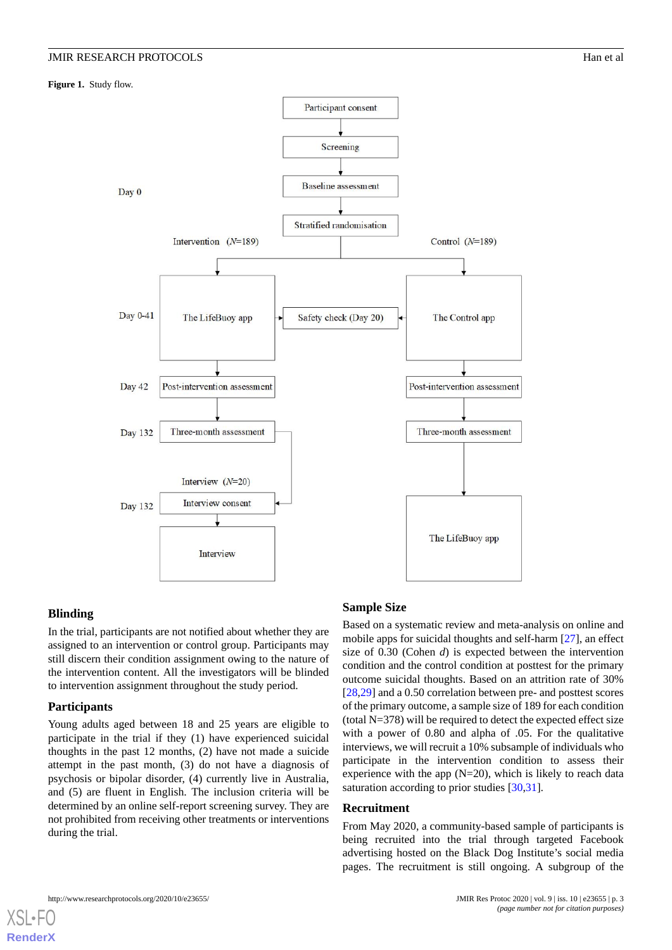<span id="page-2-0"></span>**Figure 1.** Study flow.



# **Blinding**

In the trial, participants are not notified about whether they are assigned to an intervention or control group. Participants may still discern their condition assignment owing to the nature of the intervention content. All the investigators will be blinded to intervention assignment throughout the study period.

# **Participants**

[XSL](http://www.w3.org/Style/XSL)•FO **[RenderX](http://www.renderx.com/)**

Young adults aged between 18 and 25 years are eligible to participate in the trial if they (1) have experienced suicidal thoughts in the past 12 months, (2) have not made a suicide attempt in the past month, (3) do not have a diagnosis of psychosis or bipolar disorder, (4) currently live in Australia, and (5) are fluent in English. The inclusion criteria will be determined by an online self-report screening survey. They are not prohibited from receiving other treatments or interventions during the trial.

# **Sample Size**

Based on a systematic review and meta-analysis on online and mobile apps for suicidal thoughts and self-harm [\[27](#page-9-0)], an effect size of 0.30 (Cohen *d*) is expected between the intervention condition and the control condition at posttest for the primary outcome suicidal thoughts. Based on an attrition rate of 30% [[28,](#page-9-1)[29\]](#page-9-2) and a 0.50 correlation between pre- and posttest scores of the primary outcome, a sample size of 189 for each condition (total N=378) will be required to detect the expected effect size with a power of 0.80 and alpha of .05. For the qualitative interviews, we will recruit a 10% subsample of individuals who participate in the intervention condition to assess their experience with the app  $(N=20)$ , which is likely to reach data saturation according to prior studies [\[30](#page-9-3),[31\]](#page-9-4).

# **Recruitment**

From May 2020, a community-based sample of participants is being recruited into the trial through targeted Facebook advertising hosted on the Black Dog Institute's social media pages. The recruitment is still ongoing. A subgroup of the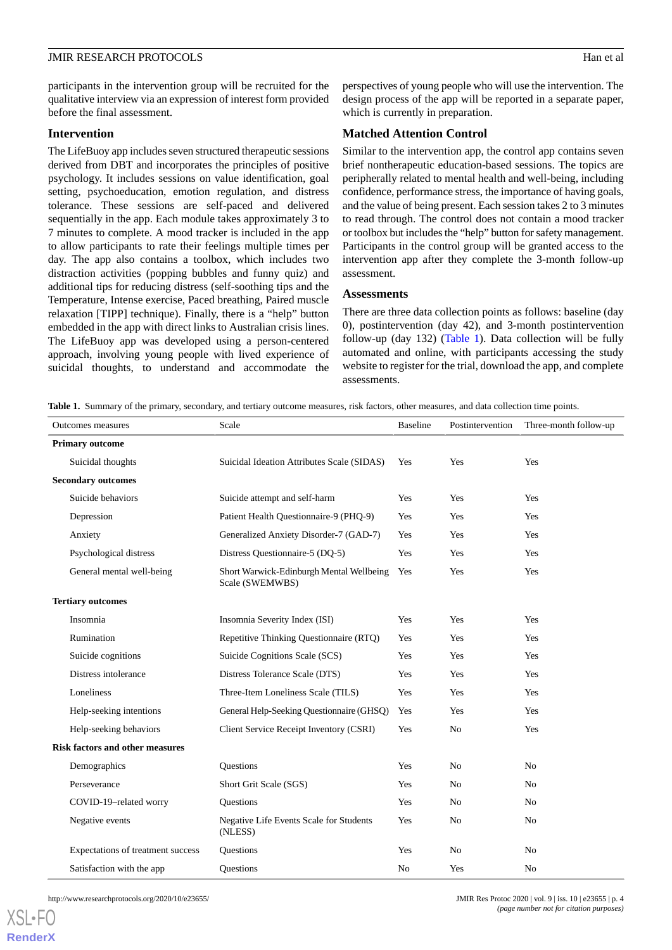participants in the intervention group will be recruited for the qualitative interview via an expression of interest form provided before the final assessment.

# **Intervention**

The LifeBuoy app includes seven structured therapeutic sessions derived from DBT and incorporates the principles of positive psychology. It includes sessions on value identification, goal setting, psychoeducation, emotion regulation, and distress tolerance. These sessions are self-paced and delivered sequentially in the app. Each module takes approximately 3 to 7 minutes to complete. A mood tracker is included in the app to allow participants to rate their feelings multiple times per day. The app also contains a toolbox, which includes two distraction activities (popping bubbles and funny quiz) and additional tips for reducing distress (self-soothing tips and the Temperature, Intense exercise, Paced breathing, Paired muscle relaxation [TIPP] technique). Finally, there is a "help" button embedded in the app with direct links to Australian crisis lines. The LifeBuoy app was developed using a person-centered approach, involving young people with lived experience of suicidal thoughts, to understand and accommodate the

perspectives of young people who will use the intervention. The design process of the app will be reported in a separate paper, which is currently in preparation.

### **Matched Attention Control**

Similar to the intervention app, the control app contains seven brief nontherapeutic education-based sessions. The topics are peripherally related to mental health and well-being, including confidence, performance stress, the importance of having goals, and the value of being present. Each session takes 2 to 3 minutes to read through. The control does not contain a mood tracker or toolbox but includes the "help" button for safety management. Participants in the control group will be granted access to the intervention app after they complete the 3-month follow-up assessment.

### **Assessments**

There are three data collection points as follows: baseline (day 0), postintervention (day 42), and 3-month postintervention follow-up (day 132) [\(Table 1](#page-3-0)). Data collection will be fully automated and online, with participants accessing the study website to register for the trial, download the app, and complete assessments.

<span id="page-3-0"></span>**Table 1.** Summary of the primary, secondary, and tertiary outcome measures, risk factors, other measures, and data collection time points.

| Outcomes measures                      | Scale                                                       | <b>Baseline</b> | Postintervention | Three-month follow-up |
|----------------------------------------|-------------------------------------------------------------|-----------------|------------------|-----------------------|
| <b>Primary outcome</b>                 |                                                             |                 |                  |                       |
| Suicidal thoughts                      | Suicidal Ideation Attributes Scale (SIDAS)                  | Yes             | Yes              | Yes                   |
| <b>Secondary outcomes</b>              |                                                             |                 |                  |                       |
| Suicide behaviors                      | Suicide attempt and self-harm                               | Yes             | Yes              | Yes                   |
| Depression                             | Patient Health Questionnaire-9 (PHQ-9)                      | Yes             | Yes              | Yes                   |
| Anxiety                                | Generalized Anxiety Disorder-7 (GAD-7)                      | Yes             | Yes              | Yes                   |
| Psychological distress                 | Distress Questionnaire-5 (DQ-5)                             | Yes             | Yes              | Yes                   |
| General mental well-being              | Short Warwick-Edinburgh Mental Wellbeing<br>Scale (SWEMWBS) | Yes             | Yes              | Yes                   |
| <b>Tertiary outcomes</b>               |                                                             |                 |                  |                       |
| Insomnia                               | Insomnia Severity Index (ISI)                               | Yes             | Yes              | Yes                   |
| Rumination                             | Repetitive Thinking Questionnaire (RTQ)                     | Yes             | Yes              | Yes                   |
| Suicide cognitions                     | Suicide Cognitions Scale (SCS)                              | Yes             | Yes              | Yes                   |
| Distress intolerance                   | Distress Tolerance Scale (DTS)                              | Yes             | Yes              | Yes                   |
| Loneliness                             | Three-Item Loneliness Scale (TILS)                          | Yes             | Yes              | Yes                   |
| Help-seeking intentions                | General Help-Seeking Questionnaire (GHSQ)                   | Yes             | Yes              | Yes                   |
| Help-seeking behaviors                 | Client Service Receipt Inventory (CSRI)                     | Yes             | N <sub>0</sub>   | Yes                   |
| <b>Risk factors and other measures</b> |                                                             |                 |                  |                       |
| Demographics                           | <b>Ouestions</b>                                            | Yes             | N <sub>o</sub>   | N <sub>0</sub>        |
| Perseverance                           | Short Grit Scale (SGS)                                      | Yes             | N <sub>0</sub>   | N <sub>0</sub>        |
| COVID-19-related worry                 | <b>Ouestions</b>                                            | Yes             | N <sub>0</sub>   | N <sub>0</sub>        |
| Negative events                        | Negative Life Events Scale for Students<br>(NLESS)          | Yes             | N <sub>0</sub>   | N <sub>0</sub>        |
| Expectations of treatment success      | <b>Ouestions</b>                                            | Yes             | No               | No                    |
| Satisfaction with the app              | <b>Ouestions</b>                                            | No              | Yes              | No                    |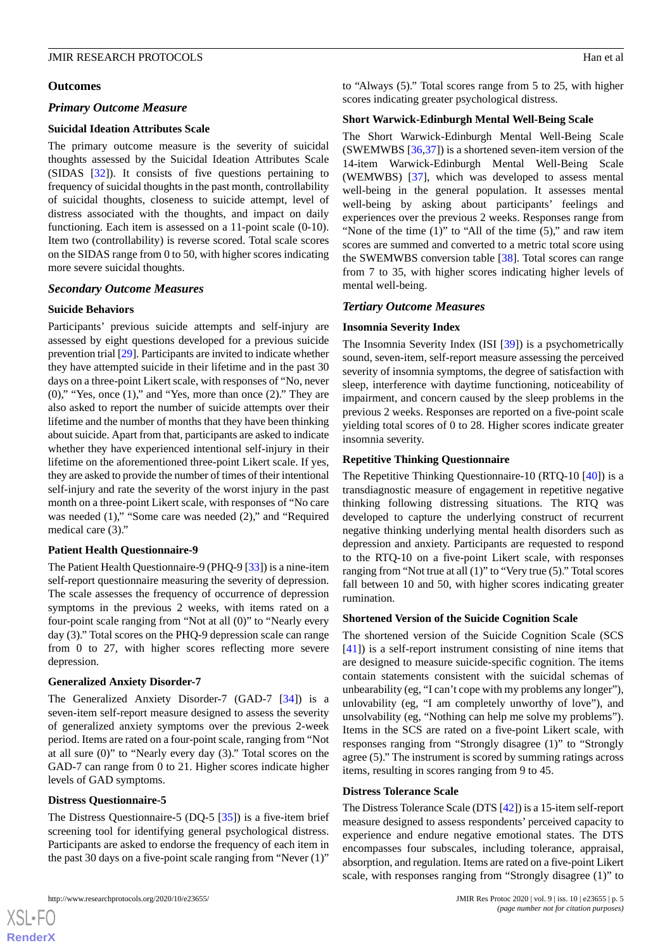#### **Outcomes**

### *Primary Outcome Measure*

#### **Suicidal Ideation Attributes Scale**

The primary outcome measure is the severity of suicidal thoughts assessed by the Suicidal Ideation Attributes Scale (SIDAS [[32\]](#page-9-5)). It consists of five questions pertaining to frequency of suicidal thoughts in the past month, controllability of suicidal thoughts, closeness to suicide attempt, level of distress associated with the thoughts, and impact on daily functioning. Each item is assessed on a 11-point scale (0-10). Item two (controllability) is reverse scored. Total scale scores on the SIDAS range from 0 to 50, with higher scores indicating more severe suicidal thoughts.

# *Secondary Outcome Measures*

### **Suicide Behaviors**

Participants' previous suicide attempts and self-injury are assessed by eight questions developed for a previous suicide prevention trial [[29\]](#page-9-2). Participants are invited to indicate whether they have attempted suicide in their lifetime and in the past 30 days on a three-point Likert scale, with responses of "No, never (0)," "Yes, once (1)," and "Yes, more than once (2)." They are also asked to report the number of suicide attempts over their lifetime and the number of months that they have been thinking about suicide. Apart from that, participants are asked to indicate whether they have experienced intentional self-injury in their lifetime on the aforementioned three-point Likert scale. If yes, they are asked to provide the number of times of their intentional self-injury and rate the severity of the worst injury in the past month on a three-point Likert scale, with responses of "No care was needed (1)," "Some care was needed (2)," and "Required medical care (3)."

#### **Patient Health Questionnaire-9**

The Patient Health Questionnaire-9 (PHQ-9 [\[33](#page-9-6)]) is a nine-item self-report questionnaire measuring the severity of depression. The scale assesses the frequency of occurrence of depression symptoms in the previous 2 weeks, with items rated on a four-point scale ranging from "Not at all (0)" to "Nearly every day (3)." Total scores on the PHQ-9 depression scale can range from 0 to 27, with higher scores reflecting more severe depression.

#### **Generalized Anxiety Disorder-7**

The Generalized Anxiety Disorder-7 (GAD-7 [[34\]](#page-9-7)) is a seven-item self-report measure designed to assess the severity of generalized anxiety symptoms over the previous 2-week period. Items are rated on a four-point scale, ranging from "Not at all sure (0)" to "Nearly every day (3)." Total scores on the GAD-7 can range from 0 to 21. Higher scores indicate higher levels of GAD symptoms.

#### **Distress Questionnaire-5**

[XSL](http://www.w3.org/Style/XSL)•FO **[RenderX](http://www.renderx.com/)**

The Distress Questionnaire-5 (DQ-5 [\[35](#page-9-8)]) is a five-item brief screening tool for identifying general psychological distress. Participants are asked to endorse the frequency of each item in the past 30 days on a five-point scale ranging from "Never (1)"

to "Always (5)." Total scores range from 5 to 25, with higher scores indicating greater psychological distress.

#### **Short Warwick-Edinburgh Mental Well-Being Scale**

The Short Warwick-Edinburgh Mental Well-Being Scale (SWEMWBS [\[36](#page-9-9),[37\]](#page-9-10)) is a shortened seven-item version of the 14-item Warwick-Edinburgh Mental Well-Being Scale (WEMWBS) [\[37](#page-9-10)], which was developed to assess mental well-being in the general population. It assesses mental well-being by asking about participants' feelings and experiences over the previous 2 weeks. Responses range from "None of the time  $(1)$ " to "All of the time  $(5)$ ," and raw item scores are summed and converted to a metric total score using the SWEMWBS conversion table [[38\]](#page-9-11). Total scores can range from 7 to 35, with higher scores indicating higher levels of mental well-being.

#### *Tertiary Outcome Measures*

#### **Insomnia Severity Index**

The Insomnia Severity Index (ISI [[39\]](#page-9-12)) is a psychometrically sound, seven-item, self-report measure assessing the perceived severity of insomnia symptoms, the degree of satisfaction with sleep, interference with daytime functioning, noticeability of impairment, and concern caused by the sleep problems in the previous 2 weeks. Responses are reported on a five-point scale yielding total scores of 0 to 28. Higher scores indicate greater insomnia severity.

#### **Repetitive Thinking Questionnaire**

The Repetitive Thinking Questionnaire-10 (RTQ-10 [\[40](#page-9-13)]) is a transdiagnostic measure of engagement in repetitive negative thinking following distressing situations. The RTQ was developed to capture the underlying construct of recurrent negative thinking underlying mental health disorders such as depression and anxiety. Participants are requested to respond to the RTQ-10 on a five-point Likert scale, with responses ranging from "Not true at all (1)" to "Very true (5)." Total scores fall between 10 and 50, with higher scores indicating greater rumination.

#### **Shortened Version of the Suicide Cognition Scale**

The shortened version of the Suicide Cognition Scale (SCS [[41\]](#page-9-14)) is a self-report instrument consisting of nine items that are designed to measure suicide-specific cognition. The items contain statements consistent with the suicidal schemas of unbearability (eg, "I can't cope with my problems any longer"), unlovability (eg, "I am completely unworthy of love"), and unsolvability (eg, "Nothing can help me solve my problems"). Items in the SCS are rated on a five-point Likert scale, with responses ranging from "Strongly disagree (1)" to "Strongly agree (5)." The instrument is scored by summing ratings across items, resulting in scores ranging from 9 to 45.

# **Distress Tolerance Scale**

The Distress Tolerance Scale (DTS [[42\]](#page-9-15)) is a 15-item self-report measure designed to assess respondents' perceived capacity to experience and endure negative emotional states. The DTS encompasses four subscales, including tolerance, appraisal, absorption, and regulation. Items are rated on a five-point Likert scale, with responses ranging from "Strongly disagree (1)" to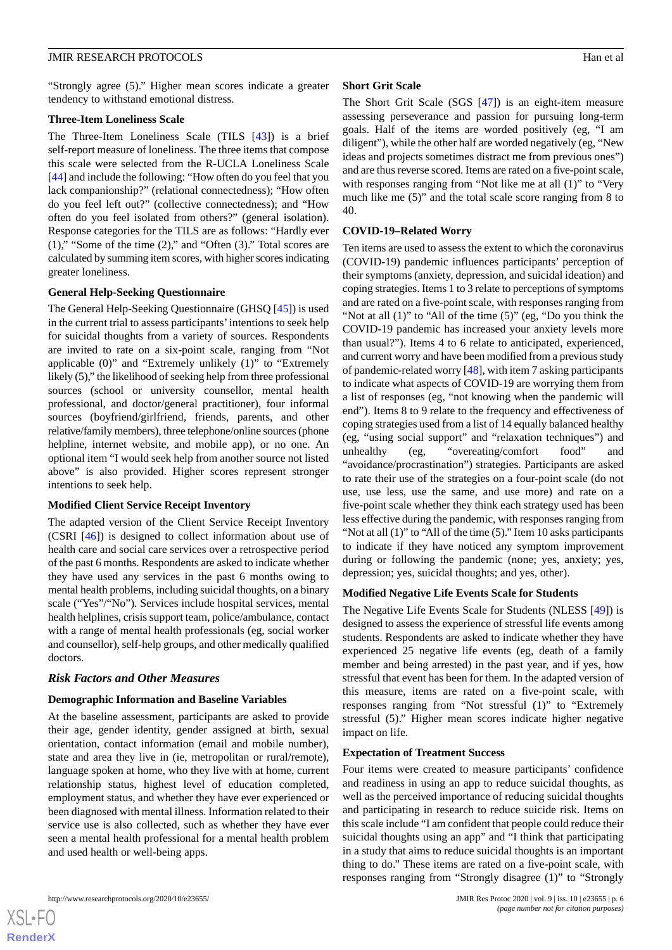"Strongly agree (5)." Higher mean scores indicate a greater tendency to withstand emotional distress.

# **Three-Item Loneliness Scale**

The Three-Item Loneliness Scale (TILS [\[43](#page-9-16)]) is a brief self-report measure of loneliness. The three items that compose this scale were selected from the R-UCLA Loneliness Scale [[44\]](#page-9-17) and include the following: "How often do you feel that you lack companionship?" (relational connectedness); "How often do you feel left out?" (collective connectedness); and "How often do you feel isolated from others?" (general isolation). Response categories for the TILS are as follows: "Hardly ever (1)," "Some of the time (2)," and "Often (3)." Total scores are calculated by summing item scores, with higher scores indicating greater loneliness.

# **General Help-Seeking Questionnaire**

The General Help-Seeking Questionnaire (GHSQ [[45\]](#page-9-18)) is used in the current trial to assess participants'intentions to seek help for suicidal thoughts from a variety of sources. Respondents are invited to rate on a six-point scale, ranging from "Not applicable (0)" and "Extremely unlikely (1)" to "Extremely likely (5)," the likelihood of seeking help from three professional sources (school or university counsellor, mental health professional, and doctor/general practitioner), four informal sources (boyfriend/girlfriend, friends, parents, and other relative/family members), three telephone/online sources (phone helpline, internet website, and mobile app), or no one. An optional item "I would seek help from another source not listed above" is also provided. Higher scores represent stronger intentions to seek help.

# **Modified Client Service Receipt Inventory**

The adapted version of the Client Service Receipt Inventory (CSRI [\[46](#page-9-19)]) is designed to collect information about use of health care and social care services over a retrospective period of the past 6 months. Respondents are asked to indicate whether they have used any services in the past 6 months owing to mental health problems, including suicidal thoughts, on a binary scale ("Yes"/"No"). Services include hospital services, mental health helplines, crisis support team, police/ambulance, contact with a range of mental health professionals (eg, social worker and counsellor), self-help groups, and other medically qualified doctors.

# *Risk Factors and Other Measures*

### **Demographic Information and Baseline Variables**

At the baseline assessment, participants are asked to provide their age, gender identity, gender assigned at birth, sexual orientation, contact information (email and mobile number), state and area they live in (ie, metropolitan or rural/remote), language spoken at home, who they live with at home, current relationship status, highest level of education completed, employment status, and whether they have ever experienced or been diagnosed with mental illness. Information related to their service use is also collected, such as whether they have ever seen a mental health professional for a mental health problem and used health or well-being apps.

# **Short Grit Scale**

The Short Grit Scale (SGS [[47\]](#page-9-20)) is an eight-item measure assessing perseverance and passion for pursuing long-term goals. Half of the items are worded positively (eg, "I am diligent"), while the other half are worded negatively (eg, "New ideas and projects sometimes distract me from previous ones") and are thus reverse scored. Items are rated on a five-point scale, with responses ranging from "Not like me at all (1)" to "Very much like me (5)" and the total scale score ranging from 8 to 40.

### **COVID-19–Related Worry**

Ten items are used to assess the extent to which the coronavirus (COVID-19) pandemic influences participants' perception of their symptoms (anxiety, depression, and suicidal ideation) and coping strategies. Items 1 to 3 relate to perceptions of symptoms and are rated on a five-point scale, with responses ranging from "Not at all (1)" to "All of the time (5)" (eg, "Do you think the COVID-19 pandemic has increased your anxiety levels more than usual?"). Items 4 to 6 relate to anticipated, experienced, and current worry and have been modified from a previous study of pandemic-related worry [\[48](#page-10-0)], with item 7 asking participants to indicate what aspects of COVID-19 are worrying them from a list of responses (eg, "not knowing when the pandemic will end"). Items 8 to 9 relate to the frequency and effectiveness of coping strategies used from a list of 14 equally balanced healthy (eg, "using social support" and "relaxation techniques") and unhealthy (eg, "overeating/comfort food" and "avoidance/procrastination") strategies. Participants are asked to rate their use of the strategies on a four-point scale (do not use, use less, use the same, and use more) and rate on a five-point scale whether they think each strategy used has been less effective during the pandemic, with responses ranging from "Not at all (1)" to "All of the time (5)." Item 10 asks participants to indicate if they have noticed any symptom improvement during or following the pandemic (none; yes, anxiety; yes, depression; yes, suicidal thoughts; and yes, other).

### **Modified Negative Life Events Scale for Students**

The Negative Life Events Scale for Students (NLESS [\[49](#page-10-1)]) is designed to assess the experience of stressful life events among students. Respondents are asked to indicate whether they have experienced 25 negative life events (eg, death of a family member and being arrested) in the past year, and if yes, how stressful that event has been for them. In the adapted version of this measure, items are rated on a five-point scale, with responses ranging from "Not stressful (1)" to "Extremely stressful (5)." Higher mean scores indicate higher negative impact on life.

### **Expectation of Treatment Success**

Four items were created to measure participants' confidence and readiness in using an app to reduce suicidal thoughts, as well as the perceived importance of reducing suicidal thoughts and participating in research to reduce suicide risk. Items on this scale include "I am confident that people could reduce their suicidal thoughts using an app" and "I think that participating in a study that aims to reduce suicidal thoughts is an important thing to do." These items are rated on a five-point scale, with responses ranging from "Strongly disagree (1)" to "Strongly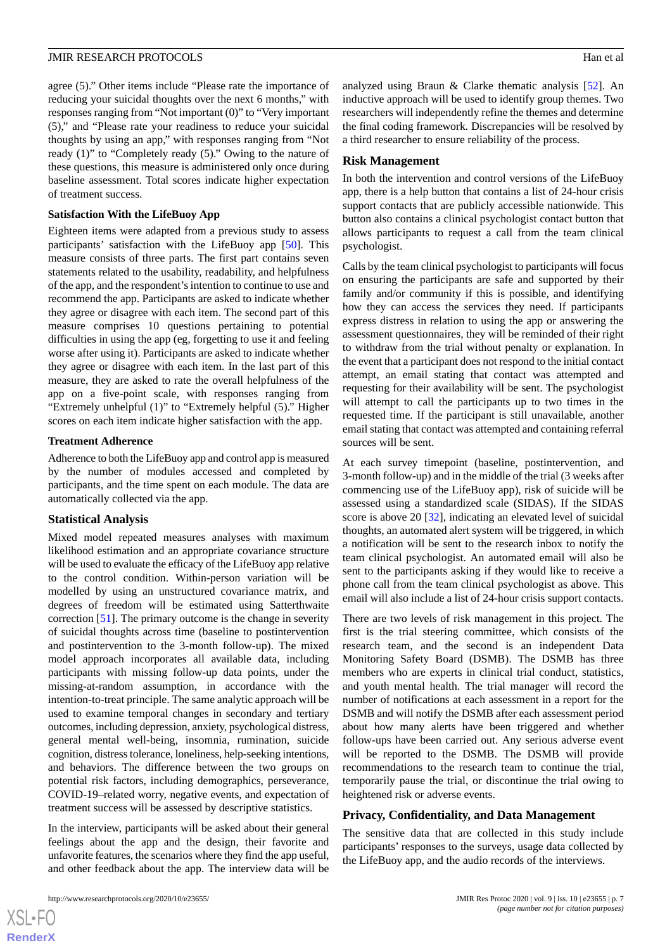agree (5)." Other items include "Please rate the importance of reducing your suicidal thoughts over the next 6 months," with responses ranging from "Not important (0)" to "Very important (5)," and "Please rate your readiness to reduce your suicidal thoughts by using an app," with responses ranging from "Not ready (1)" to "Completely ready (5)." Owing to the nature of these questions, this measure is administered only once during baseline assessment. Total scores indicate higher expectation of treatment success.

### **Satisfaction With the LifeBuoy App**

Eighteen items were adapted from a previous study to assess participants' satisfaction with the LifeBuoy app [\[50](#page-10-2)]. This measure consists of three parts. The first part contains seven statements related to the usability, readability, and helpfulness of the app, and the respondent's intention to continue to use and recommend the app. Participants are asked to indicate whether they agree or disagree with each item. The second part of this measure comprises 10 questions pertaining to potential difficulties in using the app (eg, forgetting to use it and feeling worse after using it). Participants are asked to indicate whether they agree or disagree with each item. In the last part of this measure, they are asked to rate the overall helpfulness of the app on a five-point scale, with responses ranging from "Extremely unhelpful (1)" to "Extremely helpful (5)." Higher scores on each item indicate higher satisfaction with the app.

### **Treatment Adherence**

Adherence to both the LifeBuoy app and control app is measured by the number of modules accessed and completed by participants, and the time spent on each module. The data are automatically collected via the app.

### **Statistical Analysis**

Mixed model repeated measures analyses with maximum likelihood estimation and an appropriate covariance structure will be used to evaluate the efficacy of the LifeBuoy app relative to the control condition. Within-person variation will be modelled by using an unstructured covariance matrix, and degrees of freedom will be estimated using Satterthwaite correction [[51\]](#page-10-3). The primary outcome is the change in severity of suicidal thoughts across time (baseline to postintervention and postintervention to the 3-month follow-up). The mixed model approach incorporates all available data, including participants with missing follow-up data points, under the missing-at-random assumption, in accordance with the intention-to-treat principle. The same analytic approach will be used to examine temporal changes in secondary and tertiary outcomes, including depression, anxiety, psychological distress, general mental well-being, insomnia, rumination, suicide cognition, distress tolerance, loneliness, help-seeking intentions, and behaviors. The difference between the two groups on potential risk factors, including demographics, perseverance, COVID-19–related worry, negative events, and expectation of treatment success will be assessed by descriptive statistics.

In the interview, participants will be asked about their general feelings about the app and the design, their favorite and unfavorite features, the scenarios where they find the app useful, and other feedback about the app. The interview data will be

analyzed using Braun & Clarke thematic analysis [\[52](#page-10-4)]. An inductive approach will be used to identify group themes. Two researchers will independently refine the themes and determine the final coding framework. Discrepancies will be resolved by a third researcher to ensure reliability of the process.

### **Risk Management**

In both the intervention and control versions of the LifeBuoy app, there is a help button that contains a list of 24-hour crisis support contacts that are publicly accessible nationwide. This button also contains a clinical psychologist contact button that allows participants to request a call from the team clinical psychologist.

Calls by the team clinical psychologist to participants will focus on ensuring the participants are safe and supported by their family and/or community if this is possible, and identifying how they can access the services they need. If participants express distress in relation to using the app or answering the assessment questionnaires, they will be reminded of their right to withdraw from the trial without penalty or explanation. In the event that a participant does not respond to the initial contact attempt, an email stating that contact was attempted and requesting for their availability will be sent. The psychologist will attempt to call the participants up to two times in the requested time. If the participant is still unavailable, another email stating that contact was attempted and containing referral sources will be sent.

At each survey timepoint (baseline, postintervention, and 3-month follow-up) and in the middle of the trial (3 weeks after commencing use of the LifeBuoy app), risk of suicide will be assessed using a standardized scale (SIDAS). If the SIDAS score is above 20 [[32\]](#page-9-5), indicating an elevated level of suicidal thoughts, an automated alert system will be triggered, in which a notification will be sent to the research inbox to notify the team clinical psychologist. An automated email will also be sent to the participants asking if they would like to receive a phone call from the team clinical psychologist as above. This email will also include a list of 24-hour crisis support contacts.

There are two levels of risk management in this project. The first is the trial steering committee, which consists of the research team, and the second is an independent Data Monitoring Safety Board (DSMB). The DSMB has three members who are experts in clinical trial conduct, statistics, and youth mental health. The trial manager will record the number of notifications at each assessment in a report for the DSMB and will notify the DSMB after each assessment period about how many alerts have been triggered and whether follow-ups have been carried out. Any serious adverse event will be reported to the DSMB. The DSMB will provide recommendations to the research team to continue the trial, temporarily pause the trial, or discontinue the trial owing to heightened risk or adverse events.

#### **Privacy, Confidentiality, and Data Management**

The sensitive data that are collected in this study include participants' responses to the surveys, usage data collected by the LifeBuoy app, and the audio records of the interviews.

```
XS\cdotFC
RenderX
```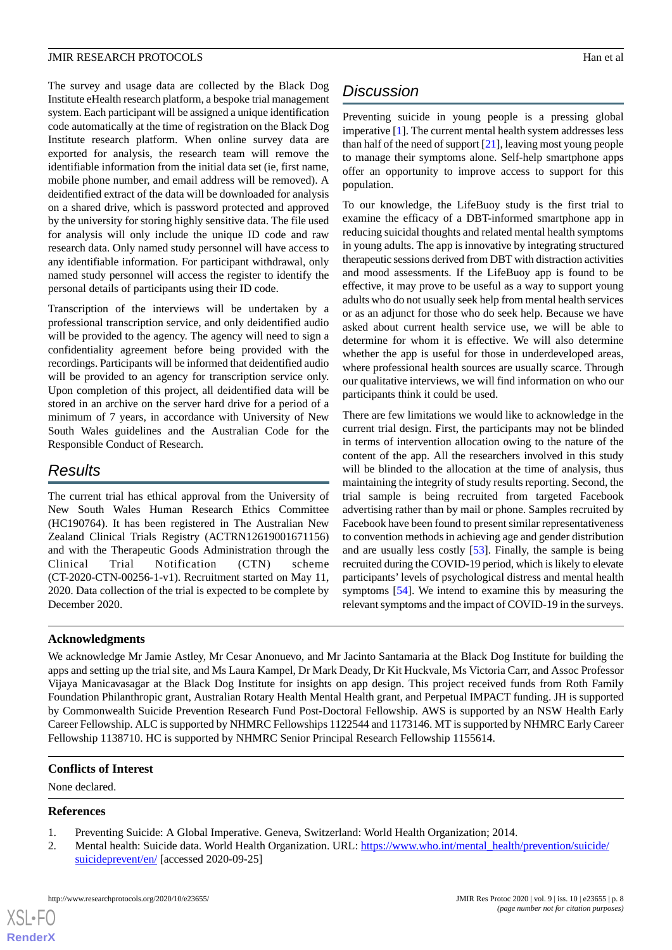The survey and usage data are collected by the Black Dog Institute eHealth research platform, a bespoke trial management system. Each participant will be assigned a unique identification code automatically at the time of registration on the Black Dog Institute research platform. When online survey data are exported for analysis, the research team will remove the identifiable information from the initial data set (ie, first name, mobile phone number, and email address will be removed). A deidentified extract of the data will be downloaded for analysis on a shared drive, which is password protected and approved by the university for storing highly sensitive data. The file used for analysis will only include the unique ID code and raw research data. Only named study personnel will have access to any identifiable information. For participant withdrawal, only named study personnel will access the register to identify the personal details of participants using their ID code.

Transcription of the interviews will be undertaken by a professional transcription service, and only deidentified audio will be provided to the agency. The agency will need to sign a confidentiality agreement before being provided with the recordings. Participants will be informed that deidentified audio will be provided to an agency for transcription service only. Upon completion of this project, all deidentified data will be stored in an archive on the server hard drive for a period of a minimum of 7 years, in accordance with University of New South Wales guidelines and the Australian Code for the Responsible Conduct of Research.

# *Results*

The current trial has ethical approval from the University of New South Wales Human Research Ethics Committee (HC190764). It has been registered in The Australian New Zealand Clinical Trials Registry (ACTRN12619001671156) and with the Therapeutic Goods Administration through the Clinical Trial Notification (CTN) scheme (CT-2020-CTN-00256-1-v1). Recruitment started on May 11, 2020. Data collection of the trial is expected to be complete by December 2020.

# **Acknowledgments**

# *Discussion*

Preventing suicide in young people is a pressing global imperative [\[1](#page-7-0)]. The current mental health system addresses less than half of the need of support [[21\]](#page-8-17), leaving most young people to manage their symptoms alone. Self-help smartphone apps offer an opportunity to improve access to support for this population.

To our knowledge, the LifeBuoy study is the first trial to examine the efficacy of a DBT-informed smartphone app in reducing suicidal thoughts and related mental health symptoms in young adults. The app is innovative by integrating structured therapeutic sessions derived from DBT with distraction activities and mood assessments. If the LifeBuoy app is found to be effective, it may prove to be useful as a way to support young adults who do not usually seek help from mental health services or as an adjunct for those who do seek help. Because we have asked about current health service use, we will be able to determine for whom it is effective. We will also determine whether the app is useful for those in underdeveloped areas, where professional health sources are usually scarce. Through our qualitative interviews, we will find information on who our participants think it could be used.

There are few limitations we would like to acknowledge in the current trial design. First, the participants may not be blinded in terms of intervention allocation owing to the nature of the content of the app. All the researchers involved in this study will be blinded to the allocation at the time of analysis, thus maintaining the integrity of study results reporting. Second, the trial sample is being recruited from targeted Facebook advertising rather than by mail or phone. Samples recruited by Facebook have been found to present similar representativeness to convention methods in achieving age and gender distribution and are usually less costly [\[53](#page-10-5)]. Finally, the sample is being recruited during the COVID-19 period, which is likely to elevate participants' levels of psychological distress and mental health symptoms [[54\]](#page-10-6). We intend to examine this by measuring the relevant symptoms and the impact of COVID-19 in the surveys.

We acknowledge Mr Jamie Astley, Mr Cesar Anonuevo, and Mr Jacinto Santamaria at the Black Dog Institute for building the apps and setting up the trial site, and Ms Laura Kampel, Dr Mark Deady, Dr Kit Huckvale, Ms Victoria Carr, and Assoc Professor Vijaya Manicavasagar at the Black Dog Institute for insights on app design. This project received funds from Roth Family Foundation Philanthropic grant, Australian Rotary Health Mental Health grant, and Perpetual IMPACT funding. JH is supported by Commonwealth Suicide Prevention Research Fund Post-Doctoral Fellowship. AWS is supported by an NSW Health Early Career Fellowship. ALC is supported by NHMRC Fellowships 1122544 and 1173146. MT is supported by NHMRC Early Career Fellowship 1138710. HC is supported by NHMRC Senior Principal Research Fellowship 1155614.

# <span id="page-7-1"></span><span id="page-7-0"></span>**Conflicts of Interest**

None declared.

# **References**

 $XS$  • FO **[RenderX](http://www.renderx.com/)**

- 1. Preventing Suicide: A Global Imperative. Geneva, Switzerland: World Health Organization; 2014.
- 2. Mental health: Suicide data. World Health Organization. URL: [https://www.who.int/mental\\_health/prevention/suicide/](https://www.who.int/mental_health/prevention/suicide/suicideprevent/en/) [suicideprevent/en/](https://www.who.int/mental_health/prevention/suicide/suicideprevent/en/) [accessed 2020-09-25]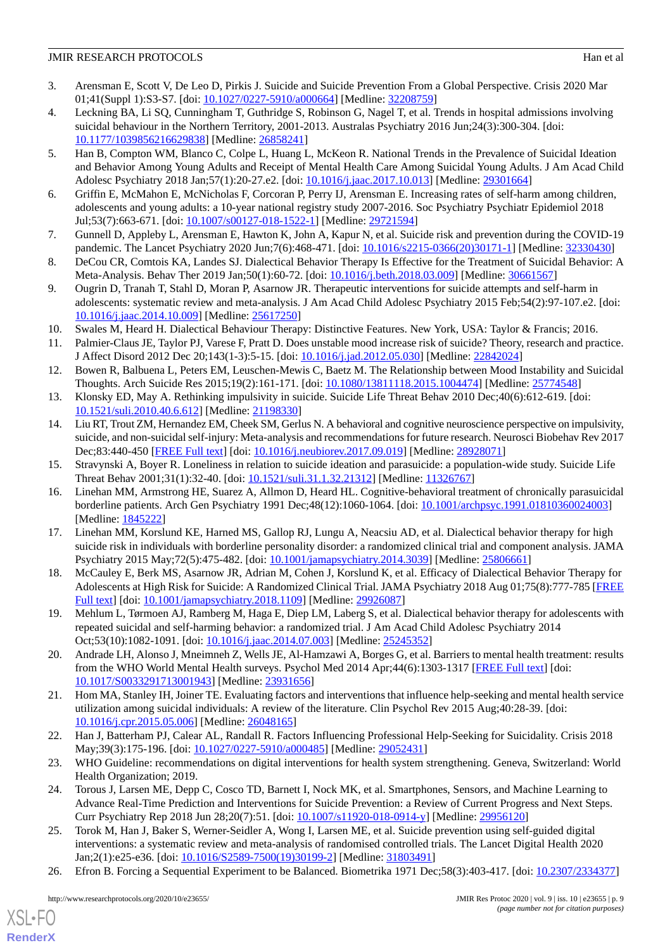# JMIR RESEARCH PROTOCOLS Han et al

- <span id="page-8-0"></span>3. Arensman E, Scott V, De Leo D, Pirkis J. Suicide and Suicide Prevention From a Global Perspective. Crisis 2020 Mar 01;41(Suppl 1):S3-S7. [doi: [10.1027/0227-5910/a000664](http://dx.doi.org/10.1027/0227-5910/a000664)] [Medline: [32208759](http://www.ncbi.nlm.nih.gov/entrez/query.fcgi?cmd=Retrieve&db=PubMed&list_uids=32208759&dopt=Abstract)]
- <span id="page-8-1"></span>4. Leckning BA, Li SQ, Cunningham T, Guthridge S, Robinson G, Nagel T, et al. Trends in hospital admissions involving suicidal behaviour in the Northern Territory, 2001-2013. Australas Psychiatry 2016 Jun;24(3):300-304. [doi: [10.1177/1039856216629838\]](http://dx.doi.org/10.1177/1039856216629838) [Medline: [26858241\]](http://www.ncbi.nlm.nih.gov/entrez/query.fcgi?cmd=Retrieve&db=PubMed&list_uids=26858241&dopt=Abstract)
- 5. Han B, Compton WM, Blanco C, Colpe L, Huang L, McKeon R. National Trends in the Prevalence of Suicidal Ideation and Behavior Among Young Adults and Receipt of Mental Health Care Among Suicidal Young Adults. J Am Acad Child Adolesc Psychiatry 2018 Jan;57(1):20-27.e2. [doi: [10.1016/j.jaac.2017.10.013](http://dx.doi.org/10.1016/j.jaac.2017.10.013)] [Medline: [29301664](http://www.ncbi.nlm.nih.gov/entrez/query.fcgi?cmd=Retrieve&db=PubMed&list_uids=29301664&dopt=Abstract)]
- <span id="page-8-3"></span><span id="page-8-2"></span>6. Griffin E, McMahon E, McNicholas F, Corcoran P, Perry IJ, Arensman E. Increasing rates of self-harm among children, adolescents and young adults: a 10-year national registry study 2007-2016. Soc Psychiatry Psychiatr Epidemiol 2018 Jul;53(7):663-671. [doi: [10.1007/s00127-018-1522-1](http://dx.doi.org/10.1007/s00127-018-1522-1)] [Medline: [29721594](http://www.ncbi.nlm.nih.gov/entrez/query.fcgi?cmd=Retrieve&db=PubMed&list_uids=29721594&dopt=Abstract)]
- <span id="page-8-4"></span>7. Gunnell D, Appleby L, Arensman E, Hawton K, John A, Kapur N, et al. Suicide risk and prevention during the COVID-19 pandemic. The Lancet Psychiatry 2020 Jun;7(6):468-471. [doi: [10.1016/s2215-0366\(20\)30171-1\]](http://dx.doi.org/10.1016/s2215-0366(20)30171-1) [Medline: [32330430\]](http://www.ncbi.nlm.nih.gov/entrez/query.fcgi?cmd=Retrieve&db=PubMed&list_uids=32330430&dopt=Abstract)
- <span id="page-8-5"></span>8. DeCou CR, Comtois KA, Landes SJ. Dialectical Behavior Therapy Is Effective for the Treatment of Suicidal Behavior: A Meta-Analysis. Behav Ther 2019 Jan;50(1):60-72. [doi: [10.1016/j.beth.2018.03.009\]](http://dx.doi.org/10.1016/j.beth.2018.03.009) [Medline: [30661567](http://www.ncbi.nlm.nih.gov/entrez/query.fcgi?cmd=Retrieve&db=PubMed&list_uids=30661567&dopt=Abstract)]
- <span id="page-8-6"></span>9. Ougrin D, Tranah T, Stahl D, Moran P, Asarnow JR. Therapeutic interventions for suicide attempts and self-harm in adolescents: systematic review and meta-analysis. J Am Acad Child Adolesc Psychiatry 2015 Feb;54(2):97-107.e2. [doi: [10.1016/j.jaac.2014.10.009\]](http://dx.doi.org/10.1016/j.jaac.2014.10.009) [Medline: [25617250\]](http://www.ncbi.nlm.nih.gov/entrez/query.fcgi?cmd=Retrieve&db=PubMed&list_uids=25617250&dopt=Abstract)
- <span id="page-8-8"></span><span id="page-8-7"></span>10. Swales M, Heard H. Dialectical Behaviour Therapy: Distinctive Features. New York, USA: Taylor & Francis; 2016.
- 11. Palmier-Claus JE, Taylor PJ, Varese F, Pratt D. Does unstable mood increase risk of suicide? Theory, research and practice. J Affect Disord 2012 Dec 20;143(1-3):5-15. [doi: [10.1016/j.jad.2012.05.030](http://dx.doi.org/10.1016/j.jad.2012.05.030)] [Medline: [22842024\]](http://www.ncbi.nlm.nih.gov/entrez/query.fcgi?cmd=Retrieve&db=PubMed&list_uids=22842024&dopt=Abstract)
- <span id="page-8-10"></span><span id="page-8-9"></span>12. Bowen R, Balbuena L, Peters EM, Leuschen-Mewis C, Baetz M. The Relationship between Mood Instability and Suicidal Thoughts. Arch Suicide Res 2015;19(2):161-171. [doi: [10.1080/13811118.2015.1004474](http://dx.doi.org/10.1080/13811118.2015.1004474)] [Medline: [25774548\]](http://www.ncbi.nlm.nih.gov/entrez/query.fcgi?cmd=Retrieve&db=PubMed&list_uids=25774548&dopt=Abstract)
- 13. Klonsky ED, May A. Rethinking impulsivity in suicide. Suicide Life Threat Behav 2010 Dec;40(6):612-619. [doi: [10.1521/suli.2010.40.6.612](http://dx.doi.org/10.1521/suli.2010.40.6.612)] [Medline: [21198330](http://www.ncbi.nlm.nih.gov/entrez/query.fcgi?cmd=Retrieve&db=PubMed&list_uids=21198330&dopt=Abstract)]
- <span id="page-8-12"></span><span id="page-8-11"></span>14. Liu RT, Trout ZM, Hernandez EM, Cheek SM, Gerlus N. A behavioral and cognitive neuroscience perspective on impulsivity, suicide, and non-suicidal self-injury: Meta-analysis and recommendations for future research. Neurosci Biobehav Rev 2017 Dec;83:440-450 [\[FREE Full text\]](http://europepmc.org/abstract/MED/28928071) [doi: [10.1016/j.neubiorev.2017.09.019](http://dx.doi.org/10.1016/j.neubiorev.2017.09.019)] [Medline: [28928071\]](http://www.ncbi.nlm.nih.gov/entrez/query.fcgi?cmd=Retrieve&db=PubMed&list_uids=28928071&dopt=Abstract)
- 15. Stravynski A, Boyer R. Loneliness in relation to suicide ideation and parasuicide: a population-wide study. Suicide Life Threat Behav 2001;31(1):32-40. [doi: [10.1521/suli.31.1.32.21312\]](http://dx.doi.org/10.1521/suli.31.1.32.21312) [Medline: [11326767](http://www.ncbi.nlm.nih.gov/entrez/query.fcgi?cmd=Retrieve&db=PubMed&list_uids=11326767&dopt=Abstract)]
- <span id="page-8-13"></span>16. Linehan MM, Armstrong HE, Suarez A, Allmon D, Heard HL. Cognitive-behavioral treatment of chronically parasuicidal borderline patients. Arch Gen Psychiatry 1991 Dec;48(12):1060-1064. [doi: [10.1001/archpsyc.1991.01810360024003\]](http://dx.doi.org/10.1001/archpsyc.1991.01810360024003) [Medline: [1845222\]](http://www.ncbi.nlm.nih.gov/entrez/query.fcgi?cmd=Retrieve&db=PubMed&list_uids=1845222&dopt=Abstract)
- <span id="page-8-14"></span>17. Linehan MM, Korslund KE, Harned MS, Gallop RJ, Lungu A, Neacsiu AD, et al. Dialectical behavior therapy for high suicide risk in individuals with borderline personality disorder: a randomized clinical trial and component analysis. JAMA Psychiatry 2015 May;72(5):475-482. [doi: [10.1001/jamapsychiatry.2014.3039\]](http://dx.doi.org/10.1001/jamapsychiatry.2014.3039) [Medline: [25806661\]](http://www.ncbi.nlm.nih.gov/entrez/query.fcgi?cmd=Retrieve&db=PubMed&list_uids=25806661&dopt=Abstract)
- <span id="page-8-16"></span><span id="page-8-15"></span>18. McCauley E, Berk MS, Asarnow JR, Adrian M, Cohen J, Korslund K, et al. Efficacy of Dialectical Behavior Therapy for Adolescents at High Risk for Suicide: A Randomized Clinical Trial. JAMA Psychiatry 2018 Aug 01;75(8):777-785 [\[FREE](http://europepmc.org/abstract/MED/29926087) [Full text\]](http://europepmc.org/abstract/MED/29926087) [doi: [10.1001/jamapsychiatry.2018.1109\]](http://dx.doi.org/10.1001/jamapsychiatry.2018.1109) [Medline: [29926087\]](http://www.ncbi.nlm.nih.gov/entrez/query.fcgi?cmd=Retrieve&db=PubMed&list_uids=29926087&dopt=Abstract)
- <span id="page-8-17"></span>19. Mehlum L, Tørmoen AJ, Ramberg M, Haga E, Diep LM, Laberg S, et al. Dialectical behavior therapy for adolescents with repeated suicidal and self-harming behavior: a randomized trial. J Am Acad Child Adolesc Psychiatry 2014 Oct;53(10):1082-1091. [doi: [10.1016/j.jaac.2014.07.003](http://dx.doi.org/10.1016/j.jaac.2014.07.003)] [Medline: [25245352\]](http://www.ncbi.nlm.nih.gov/entrez/query.fcgi?cmd=Retrieve&db=PubMed&list_uids=25245352&dopt=Abstract)
- <span id="page-8-18"></span>20. Andrade LH, Alonso J, Mneimneh Z, Wells JE, Al-Hamzawi A, Borges G, et al. Barriers to mental health treatment: results from the WHO World Mental Health surveys. Psychol Med 2014 Apr;44(6):1303-1317 [[FREE Full text\]](http://europepmc.org/abstract/MED/23931656) [doi: [10.1017/S0033291713001943](http://dx.doi.org/10.1017/S0033291713001943)] [Medline: [23931656](http://www.ncbi.nlm.nih.gov/entrez/query.fcgi?cmd=Retrieve&db=PubMed&list_uids=23931656&dopt=Abstract)]
- <span id="page-8-20"></span><span id="page-8-19"></span>21. Hom MA, Stanley IH, Joiner TE. Evaluating factors and interventions that influence help-seeking and mental health service utilization among suicidal individuals: A review of the literature. Clin Psychol Rev 2015 Aug;40:28-39. [doi: [10.1016/j.cpr.2015.05.006\]](http://dx.doi.org/10.1016/j.cpr.2015.05.006) [Medline: [26048165\]](http://www.ncbi.nlm.nih.gov/entrez/query.fcgi?cmd=Retrieve&db=PubMed&list_uids=26048165&dopt=Abstract)
- <span id="page-8-21"></span>22. Han J, Batterham PJ, Calear AL, Randall R. Factors Influencing Professional Help-Seeking for Suicidality. Crisis 2018 May;39(3):175-196. [doi: [10.1027/0227-5910/a000485\]](http://dx.doi.org/10.1027/0227-5910/a000485) [Medline: [29052431](http://www.ncbi.nlm.nih.gov/entrez/query.fcgi?cmd=Retrieve&db=PubMed&list_uids=29052431&dopt=Abstract)]
- 23. WHO Guideline: recommendations on digital interventions for health system strengthening. Geneva, Switzerland: World Health Organization; 2019.
- <span id="page-8-22"></span>24. Torous J, Larsen ME, Depp C, Cosco TD, Barnett I, Nock MK, et al. Smartphones, Sensors, and Machine Learning to Advance Real-Time Prediction and Interventions for Suicide Prevention: a Review of Current Progress and Next Steps. Curr Psychiatry Rep 2018 Jun 28;20(7):51. [doi: [10.1007/s11920-018-0914-y](http://dx.doi.org/10.1007/s11920-018-0914-y)] [Medline: [29956120](http://www.ncbi.nlm.nih.gov/entrez/query.fcgi?cmd=Retrieve&db=PubMed&list_uids=29956120&dopt=Abstract)]
- 25. Torok M, Han J, Baker S, Werner-Seidler A, Wong I, Larsen ME, et al. Suicide prevention using self-guided digital interventions: a systematic review and meta-analysis of randomised controlled trials. The Lancet Digital Health 2020 Jan;2(1):e25-e36. [doi: [10.1016/S2589-7500\(19\)30199-2\]](http://dx.doi.org/10.1016/S2589-7500(19)30199-2) [Medline: [31803491\]](http://www.ncbi.nlm.nih.gov/entrez/query.fcgi?cmd=Retrieve&db=PubMed&list_uids=31803491&dopt=Abstract)
- 26. Efron B. Forcing a Sequential Experiment to be Balanced. Biometrika 1971 Dec;58(3):403-417. [doi: [10.2307/2334377\]](http://dx.doi.org/10.2307/2334377)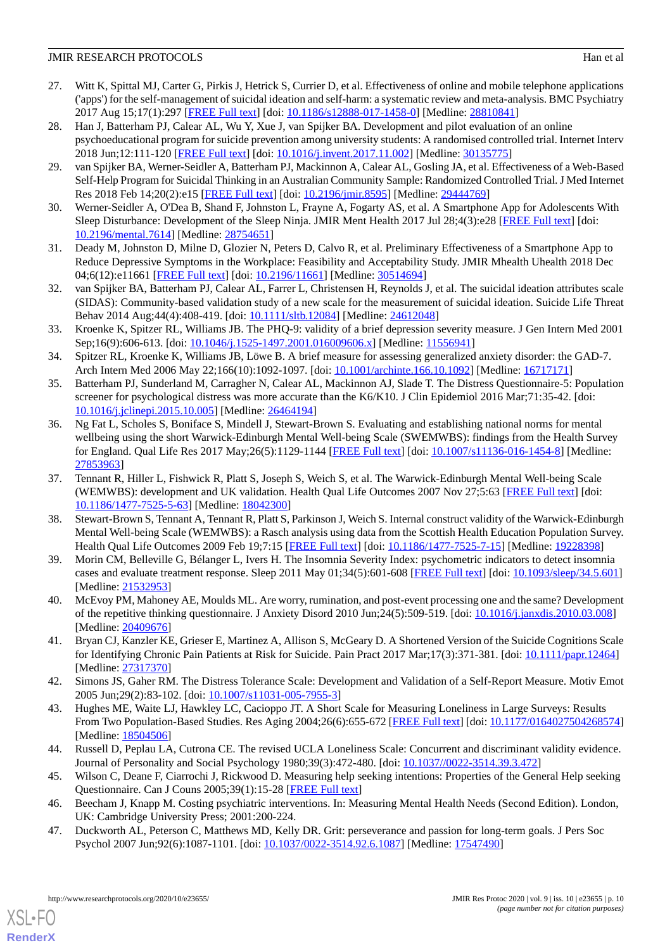# JMIR RESEARCH PROTOCOLS Han et al

- <span id="page-9-0"></span>27. Witt K, Spittal MJ, Carter G, Pirkis J, Hetrick S, Currier D, et al. Effectiveness of online and mobile telephone applications ('apps') for the self-management of suicidal ideation and self-harm: a systematic review and meta-analysis. BMC Psychiatry 2017 Aug 15;17(1):297 [[FREE Full text](https://bmcpsychiatry.biomedcentral.com/articles/)] [doi: [10.1186/s12888-017-1458-0\]](http://dx.doi.org/10.1186/s12888-017-1458-0) [Medline: [28810841](http://www.ncbi.nlm.nih.gov/entrez/query.fcgi?cmd=Retrieve&db=PubMed&list_uids=28810841&dopt=Abstract)]
- <span id="page-9-1"></span>28. Han J, Batterham PJ, Calear AL, Wu Y, Xue J, van Spijker BA. Development and pilot evaluation of an online psychoeducational program for suicide prevention among university students: A randomised controlled trial. Internet Interv 2018 Jun;12:111-120 [[FREE Full text](https://linkinghub.elsevier.com/retrieve/pii/)] [doi: [10.1016/j.invent.2017.11.002\]](http://dx.doi.org/10.1016/j.invent.2017.11.002) [Medline: [30135775](http://www.ncbi.nlm.nih.gov/entrez/query.fcgi?cmd=Retrieve&db=PubMed&list_uids=30135775&dopt=Abstract)]
- <span id="page-9-2"></span>29. van Spijker BA, Werner-Seidler A, Batterham PJ, Mackinnon A, Calear AL, Gosling JA, et al. Effectiveness of a Web-Based Self-Help Program for Suicidal Thinking in an Australian Community Sample: Randomized Controlled Trial. J Med Internet Res 2018 Feb 14;20(2):e15 [[FREE Full text\]](https://www.jmir.org/2018/2/e15/) [doi: [10.2196/jmir.8595](http://dx.doi.org/10.2196/jmir.8595)] [Medline: [29444769\]](http://www.ncbi.nlm.nih.gov/entrez/query.fcgi?cmd=Retrieve&db=PubMed&list_uids=29444769&dopt=Abstract)
- <span id="page-9-4"></span><span id="page-9-3"></span>30. Werner-Seidler A, O'Dea B, Shand F, Johnston L, Frayne A, Fogarty AS, et al. A Smartphone App for Adolescents With Sleep Disturbance: Development of the Sleep Ninja. JMIR Ment Health 2017 Jul 28;4(3):e28 [[FREE Full text\]](https://mental.jmir.org/2017/3/e28/) [doi: [10.2196/mental.7614\]](http://dx.doi.org/10.2196/mental.7614) [Medline: [28754651](http://www.ncbi.nlm.nih.gov/entrez/query.fcgi?cmd=Retrieve&db=PubMed&list_uids=28754651&dopt=Abstract)]
- <span id="page-9-5"></span>31. Deady M, Johnston D, Milne D, Glozier N, Peters D, Calvo R, et al. Preliminary Effectiveness of a Smartphone App to Reduce Depressive Symptoms in the Workplace: Feasibility and Acceptability Study. JMIR Mhealth Uhealth 2018 Dec 04;6(12):e11661 [\[FREE Full text](https://mhealth.jmir.org/2018/12/e11661/)] [doi: [10.2196/11661\]](http://dx.doi.org/10.2196/11661) [Medline: [30514694\]](http://www.ncbi.nlm.nih.gov/entrez/query.fcgi?cmd=Retrieve&db=PubMed&list_uids=30514694&dopt=Abstract)
- <span id="page-9-6"></span>32. van Spijker BA, Batterham PJ, Calear AL, Farrer L, Christensen H, Reynolds J, et al. The suicidal ideation attributes scale (SIDAS): Community-based validation study of a new scale for the measurement of suicidal ideation. Suicide Life Threat Behav 2014 Aug;44(4):408-419. [doi: [10.1111/sltb.12084\]](http://dx.doi.org/10.1111/sltb.12084) [Medline: [24612048\]](http://www.ncbi.nlm.nih.gov/entrez/query.fcgi?cmd=Retrieve&db=PubMed&list_uids=24612048&dopt=Abstract)
- <span id="page-9-7"></span>33. Kroenke K, Spitzer RL, Williams JB. The PHQ-9: validity of a brief depression severity measure. J Gen Intern Med 2001 Sep;16(9):606-613. [doi: [10.1046/j.1525-1497.2001.016009606.x\]](http://dx.doi.org/10.1046/j.1525-1497.2001.016009606.x) [Medline: [11556941\]](http://www.ncbi.nlm.nih.gov/entrez/query.fcgi?cmd=Retrieve&db=PubMed&list_uids=11556941&dopt=Abstract)
- <span id="page-9-8"></span>34. Spitzer RL, Kroenke K, Williams JB, Löwe B. A brief measure for assessing generalized anxiety disorder: the GAD-7. Arch Intern Med 2006 May 22;166(10):1092-1097. [doi: [10.1001/archinte.166.10.1092](http://dx.doi.org/10.1001/archinte.166.10.1092)] [Medline: [16717171](http://www.ncbi.nlm.nih.gov/entrez/query.fcgi?cmd=Retrieve&db=PubMed&list_uids=16717171&dopt=Abstract)]
- <span id="page-9-9"></span>35. Batterham PJ, Sunderland M, Carragher N, Calear AL, Mackinnon AJ, Slade T. The Distress Questionnaire-5: Population screener for psychological distress was more accurate than the K6/K10. J Clin Epidemiol 2016 Mar;71:35-42. [doi: [10.1016/j.jclinepi.2015.10.005\]](http://dx.doi.org/10.1016/j.jclinepi.2015.10.005) [Medline: [26464194](http://www.ncbi.nlm.nih.gov/entrez/query.fcgi?cmd=Retrieve&db=PubMed&list_uids=26464194&dopt=Abstract)]
- <span id="page-9-10"></span>36. Ng Fat L, Scholes S, Boniface S, Mindell J, Stewart-Brown S. Evaluating and establishing national norms for mental wellbeing using the short Warwick-Edinburgh Mental Well-being Scale (SWEMWBS): findings from the Health Survey for England. Qual Life Res 2017 May;26(5):1129-1144 [[FREE Full text](http://europepmc.org/abstract/MED/27853963)] [doi: [10.1007/s11136-016-1454-8\]](http://dx.doi.org/10.1007/s11136-016-1454-8) [Medline: [27853963](http://www.ncbi.nlm.nih.gov/entrez/query.fcgi?cmd=Retrieve&db=PubMed&list_uids=27853963&dopt=Abstract)]
- <span id="page-9-11"></span>37. Tennant R, Hiller L, Fishwick R, Platt S, Joseph S, Weich S, et al. The Warwick-Edinburgh Mental Well-being Scale (WEMWBS): development and UK validation. Health Qual Life Outcomes 2007 Nov 27;5:63 [[FREE Full text](https://hqlo.biomedcentral.com/articles/10.1186/1477-7525-5-63)] [doi: [10.1186/1477-7525-5-63\]](http://dx.doi.org/10.1186/1477-7525-5-63) [Medline: [18042300\]](http://www.ncbi.nlm.nih.gov/entrez/query.fcgi?cmd=Retrieve&db=PubMed&list_uids=18042300&dopt=Abstract)
- <span id="page-9-12"></span>38. Stewart-Brown S, Tennant A, Tennant R, Platt S, Parkinson J, Weich S. Internal construct validity of the Warwick-Edinburgh Mental Well-being Scale (WEMWBS): a Rasch analysis using data from the Scottish Health Education Population Survey. Health Qual Life Outcomes 2009 Feb 19;7:15 [\[FREE Full text\]](https://hqlo.biomedcentral.com/articles/10.1186/1477-7525-7-15) [doi: [10.1186/1477-7525-7-15](http://dx.doi.org/10.1186/1477-7525-7-15)] [Medline: [19228398\]](http://www.ncbi.nlm.nih.gov/entrez/query.fcgi?cmd=Retrieve&db=PubMed&list_uids=19228398&dopt=Abstract)
- <span id="page-9-14"></span><span id="page-9-13"></span>39. Morin CM, Belleville G, Bélanger L, Ivers H. The Insomnia Severity Index: psychometric indicators to detect insomnia cases and evaluate treatment response. Sleep 2011 May 01;34(5):601-608 [\[FREE Full text\]](http://europepmc.org/abstract/MED/21532953) [doi: [10.1093/sleep/34.5.601](http://dx.doi.org/10.1093/sleep/34.5.601)] [Medline: [21532953](http://www.ncbi.nlm.nih.gov/entrez/query.fcgi?cmd=Retrieve&db=PubMed&list_uids=21532953&dopt=Abstract)]
- <span id="page-9-15"></span>40. McEvoy PM, Mahoney AE, Moulds ML. Are worry, rumination, and post-event processing one and the same? Development of the repetitive thinking questionnaire. J Anxiety Disord 2010 Jun;24(5):509-519. [doi: [10.1016/j.janxdis.2010.03.008\]](http://dx.doi.org/10.1016/j.janxdis.2010.03.008) [Medline: [20409676](http://www.ncbi.nlm.nih.gov/entrez/query.fcgi?cmd=Retrieve&db=PubMed&list_uids=20409676&dopt=Abstract)]
- <span id="page-9-16"></span>41. Bryan CJ, Kanzler KE, Grieser E, Martinez A, Allison S, McGeary D. A Shortened Version of the Suicide Cognitions Scale for Identifying Chronic Pain Patients at Risk for Suicide. Pain Pract 2017 Mar;17(3):371-381. [doi: [10.1111/papr.12464\]](http://dx.doi.org/10.1111/papr.12464) [Medline: [27317370](http://www.ncbi.nlm.nih.gov/entrez/query.fcgi?cmd=Retrieve&db=PubMed&list_uids=27317370&dopt=Abstract)]
- <span id="page-9-17"></span>42. Simons JS, Gaher RM. The Distress Tolerance Scale: Development and Validation of a Self-Report Measure. Motiv Emot 2005 Jun;29(2):83-102. [doi: [10.1007/s11031-005-7955-3](http://dx.doi.org/10.1007/s11031-005-7955-3)]
- <span id="page-9-19"></span><span id="page-9-18"></span>43. Hughes ME, Waite LJ, Hawkley LC, Cacioppo JT. A Short Scale for Measuring Loneliness in Large Surveys: Results From Two Population-Based Studies. Res Aging 2004;26(6):655-672 [[FREE Full text\]](http://europepmc.org/abstract/MED/18504506) [doi: [10.1177/0164027504268574](http://dx.doi.org/10.1177/0164027504268574)] [Medline: [18504506](http://www.ncbi.nlm.nih.gov/entrez/query.fcgi?cmd=Retrieve&db=PubMed&list_uids=18504506&dopt=Abstract)]
- <span id="page-9-20"></span>44. Russell D, Peplau LA, Cutrona CE. The revised UCLA Loneliness Scale: Concurrent and discriminant validity evidence. Journal of Personality and Social Psychology 1980;39(3):472-480. [doi: [10.1037//0022-3514.39.3.472](http://dx.doi.org/10.1037//0022-3514.39.3.472)]
- 45. Wilson C, Deane F, Ciarrochi J, Rickwood D. Measuring help seeking intentions: Properties of the General Help seeking Questionnaire. Can J Couns 2005;39(1):15-28 [\[FREE Full text\]](http://ro.uow.edu.au/hbspapers/1527)
- 46. Beecham J, Knapp M. Costing psychiatric interventions. In: Measuring Mental Health Needs (Second Edition). London, UK: Cambridge University Press; 2001:200-224.
- 47. Duckworth AL, Peterson C, Matthews MD, Kelly DR. Grit: perseverance and passion for long-term goals. J Pers Soc Psychol 2007 Jun;92(6):1087-1101. [doi: [10.1037/0022-3514.92.6.1087](http://dx.doi.org/10.1037/0022-3514.92.6.1087)] [Medline: [17547490\]](http://www.ncbi.nlm.nih.gov/entrez/query.fcgi?cmd=Retrieve&db=PubMed&list_uids=17547490&dopt=Abstract)